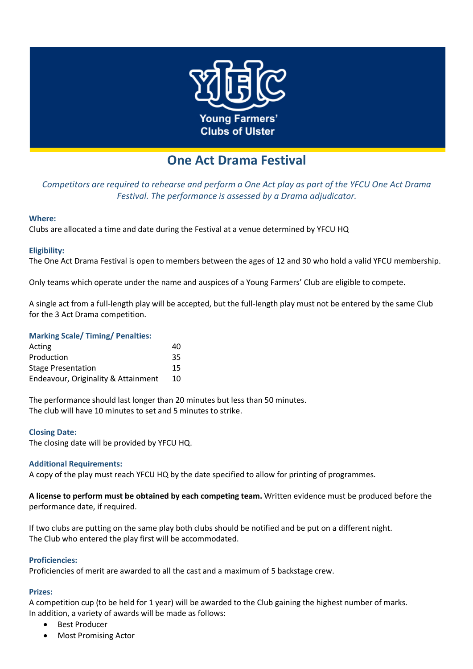

# **One Act Drama Festival**

*Competitors are required to rehearse and perform a One Act play as part of the YFCU One Act Drama Festival. The performance is assessed by a Drama adjudicator.*

## **Where:**

Clubs are allocated a time and date during the Festival at a venue determined by YFCU HQ

## **Eligibility:**

The One Act Drama Festival is open to members between the ages of 12 and 30 who hold a valid YFCU membership.

Only teams which operate under the name and auspices of a Young Farmers' Club are eligible to compete.

A single act from a full-length play will be accepted, but the full-length play must not be entered by the same Club for the 3 Act Drama competition.

# **Marking Scale/ Timing/ Penalties:**

| Acting                              | 40  |
|-------------------------------------|-----|
| Production                          | 35. |
| <b>Stage Presentation</b>           | 15. |
| Endeavour, Originality & Attainment | 10  |

The performance should last longer than 20 minutes but less than 50 minutes. The club will have 10 minutes to set and 5 minutes to strike.

#### **Closing Date:**

The closing date will be provided by YFCU HQ.

#### **Additional Requirements:**

A copy of the play must reach YFCU HQ by the date specified to allow for printing of programmes.

**A license to perform must be obtained by each competing team.** Written evidence must be produced before the performance date, if required.

If two clubs are putting on the same play both clubs should be notified and be put on a different night. The Club who entered the play first will be accommodated.

#### **Proficiencies:**

Proficiencies of merit are awarded to all the cast and a maximum of 5 backstage crew.

#### **Prizes:**

A competition cup (to be held for 1 year) will be awarded to the Club gaining the highest number of marks. In addition, a variety of awards will be made as follows:

- Best Producer
- Most Promising Actor